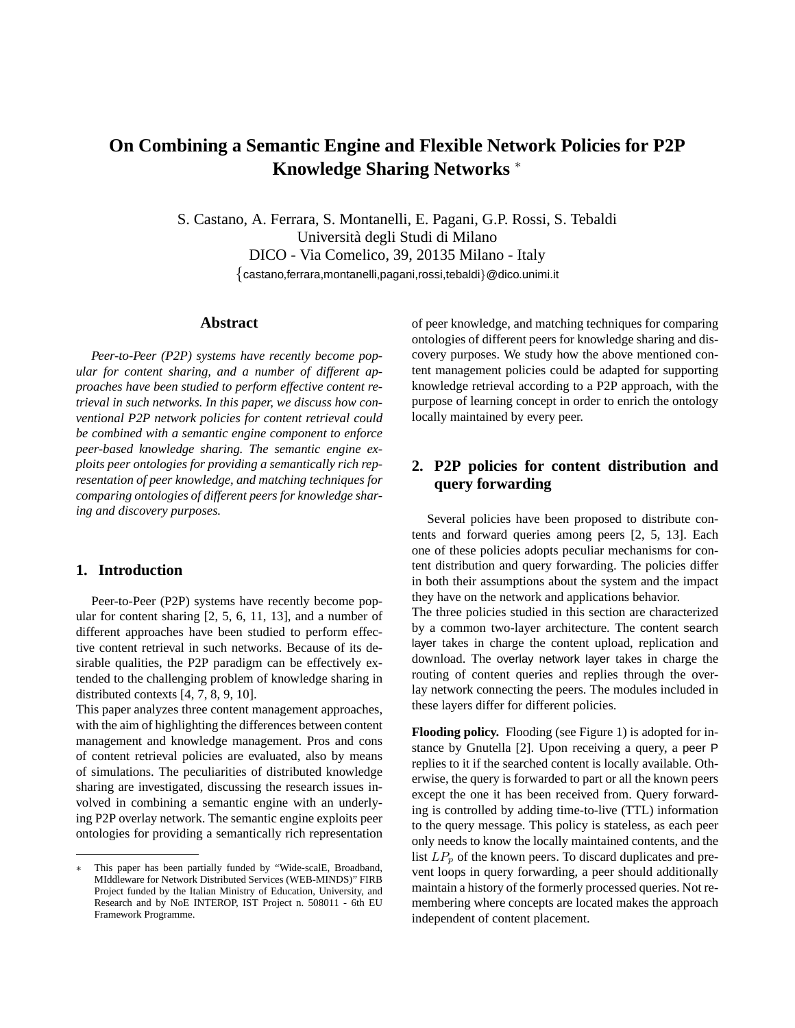# **On Combining a Semantic Engine and Flexible Network Policies for P2P Knowledge Sharing Networks** <sup>∗</sup>

S. Castano, A. Ferrara, S. Montanelli, E. Pagani, G.P. Rossi, S. Tebaldi Universita degli Studi di Milano ` DICO - Via Comelico, 39, 20135 Milano - Italy {castano,ferrara,montanelli,pagani,rossi,tebaldi}@dico.unimi.it

# **Abstract**

*Peer-to-Peer (P2P) systems have recently become popular for content sharing, and a number of different approaches have been studied to perform effective content retrieval in such networks. In this paper, we discuss how conventional P2P network policies for content retrieval could be combined with a semantic engine component to enforce peer-based knowledge sharing. The semantic engine exploits peer ontologies for providing a semantically rich representation of peer knowledge, and matching techniques for comparing ontologies of different peers for knowledge sharing and discovery purposes.*

# **1. Introduction**

Peer-to-Peer (P2P) systems have recently become popular for content sharing [2, 5, 6, 11, 13], and a number of different approaches have been studied to perform effective content retrieval in such networks. Because of its desirable qualities, the P2P paradigm can be effectively extended to the challenging problem of knowledge sharing in distributed contexts [4, 7, 8, 9, 10].

This paper analyzes three content management approaches, with the aim of highlighting the differences between content management and knowledge management. Pros and cons of content retrieval policies are evaluated, also by means of simulations. The peculiarities of distributed knowledge sharing are investigated, discussing the research issues involved in combining a semantic engine with an underlying P2P overlay network. The semantic engine exploits peer ontologies for providing a semantically rich representation of peer knowledge, and matching techniques for comparing ontologies of different peers for knowledge sharing and discovery purposes. We study how the above mentioned content management policies could be adapted for supporting knowledge retrieval according to a P2P approach, with the purpose of learning concept in order to enrich the ontology locally maintained by every peer.

# **2. P2P policies for content distribution and query forwarding**

Several policies have been proposed to distribute contents and forward queries among peers [2, 5, 13]. Each one of these policies adopts peculiar mechanisms for content distribution and query forwarding. The policies differ in both their assumptions about the system and the impact they have on the network and applications behavior. The three policies studied in this section are characterized by a common two-layer architecture. The content search layer takes in charge the content upload, replication and download. The overlay network layer takes in charge the routing of content queries and replies through the overlay network connecting the peers. The modules included in these layers differ for different policies.

**Flooding policy.** Flooding (see Figure 1) is adopted for instance by Gnutella [2]. Upon receiving a query, a peer P replies to it if the searched content is locally available. Otherwise, the query is forwarded to part or all the known peers except the one it has been received from. Query forwarding is controlled by adding time-to-live (TTL) information to the query message. This policy is stateless, as each peer only needs to know the locally maintained contents, and the list  $LP_p$  of the known peers. To discard duplicates and prevent loops in query forwarding, a peer should additionally maintain a history of the formerly processed queries. Not remembering where concepts are located makes the approach independent of content placement.

This paper has been partially funded by "Wide-scalE, Broadband, MIddleware for Network Distributed Services (WEB-MINDS)" FIRB Project funded by the Italian Ministry of Education, University, and Research and by NoE INTEROP, IST Project n. 508011 - 6th EU Framework Programme.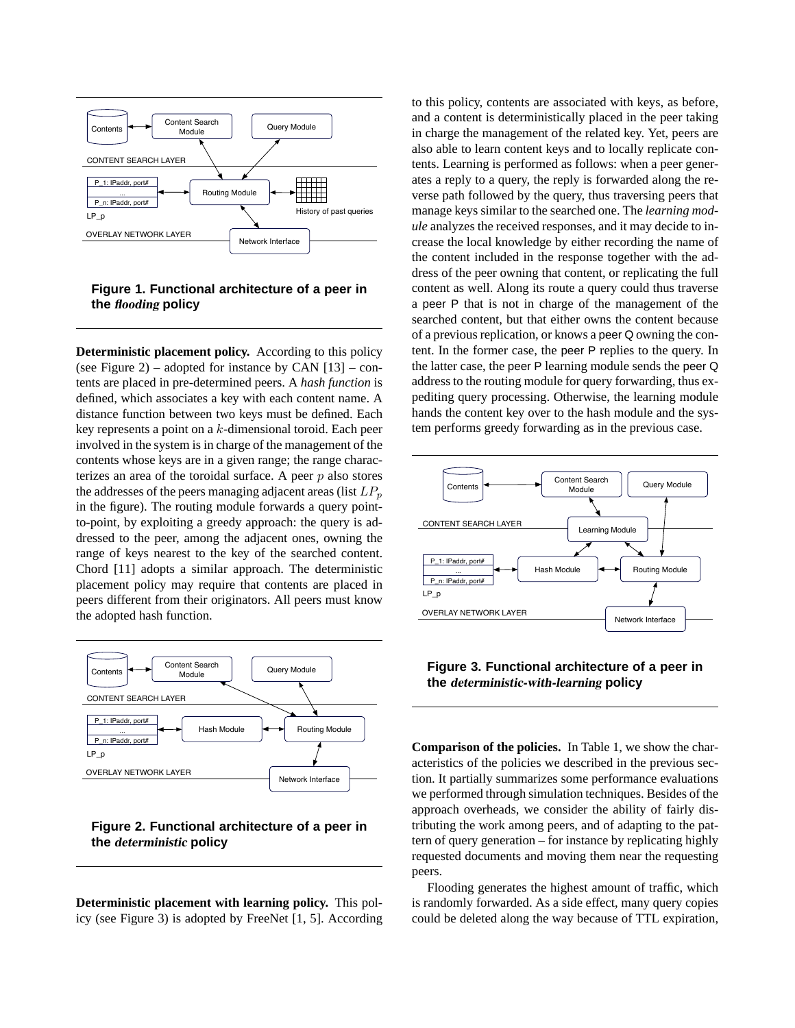

## **Figure 1. Functional architecture of a peer in the** flooding **policy**

**Deterministic placement policy.** According to this policy (see Figure 2) – adopted for instance by CAN  $[13]$  – contents are placed in pre-determined peers. A *hash function* is defined, which associates a key with each content name. A distance function between two keys must be defined. Each key represents a point on a k-dimensional toroid. Each peer involved in the system is in charge of the management of the contents whose keys are in a given range; the range characterizes an area of the toroidal surface. A peer  $p$  also stores the addresses of the peers managing adjacent areas (list  $LP_p$ in the figure). The routing module forwards a query pointto-point, by exploiting a greedy approach: the query is addressed to the peer, among the adjacent ones, owning the range of keys nearest to the key of the searched content. Chord [11] adopts a similar approach. The deterministic placement policy may require that contents are placed in peers different from their originators. All peers must know the adopted hash function.



# **Figure 2. Functional architecture of a peer in the** deterministic **policy**

**Deterministic placement with learning policy.** This policy (see Figure 3) is adopted by FreeNet [1, 5]. According

to this policy, contents are associated with keys, as before, and a content is deterministically placed in the peer taking in charge the management of the related key. Yet, peers are also able to learn content keys and to locally replicate contents. Learning is performed as follows: when a peer generates a reply to a query, the reply is forwarded along the reverse path followed by the query, thus traversing peers that manage keys similar to the searched one. The *learning module* analyzes the received responses, and it may decide to increase the local knowledge by either recording the name of the content included in the response together with the address of the peer owning that content, or replicating the full content as well. Along its route a query could thus traverse a peer P that is not in charge of the management of the searched content, but that either owns the content because of a previous replication, or knows a peer Q owning the content. In the former case, the peer P replies to the query. In the latter case, the peer P learning module sends the peer Q address to the routing module for query forwarding, thus expediting query processing. Otherwise, the learning module hands the content key over to the hash module and the system performs greedy forwarding as in the previous case.



#### **Figure 3. Functional architecture of a peer in the** deterministic-with-learning **policy**

**Comparison of the policies.** In Table 1, we show the characteristics of the policies we described in the previous section. It partially summarizes some performance evaluations we performed through simulation techniques. Besides of the approach overheads, we consider the ability of fairly distributing the work among peers, and of adapting to the pattern of query generation – for instance by replicating highly requested documents and moving them near the requesting peers.

Flooding generates the highest amount of traffic, which is randomly forwarded. As a side effect, many query copies could be deleted along the way because of TTL expiration,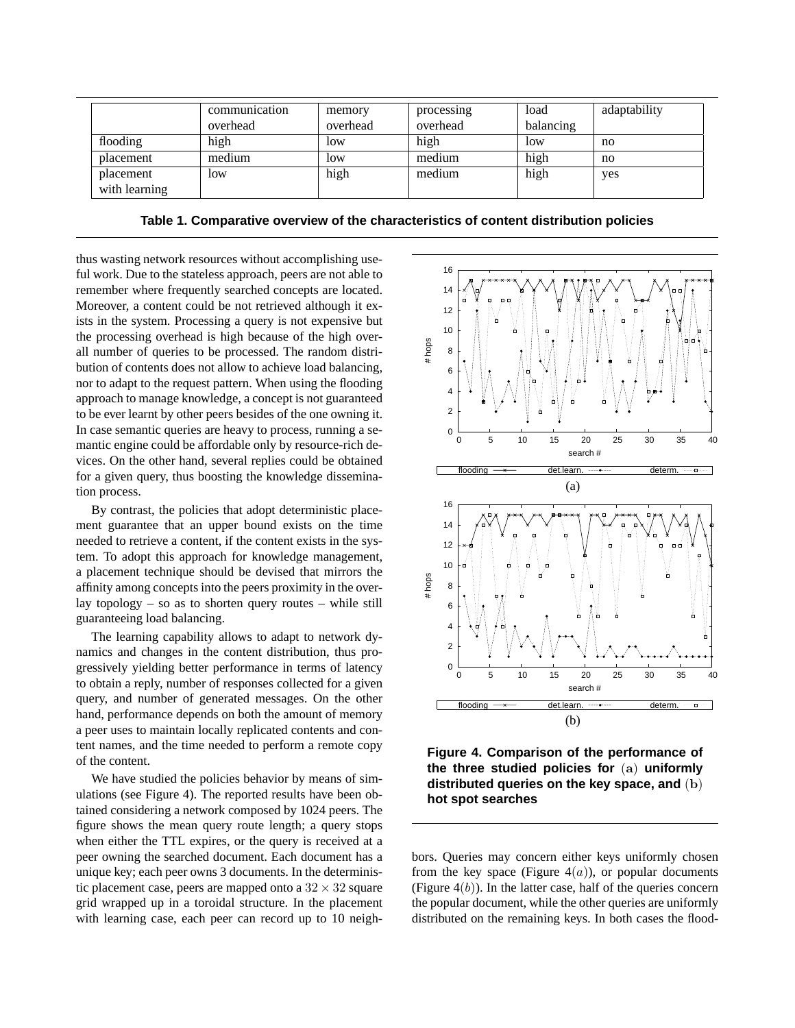|               | communication | memory   | processing | load      | adaptability |
|---------------|---------------|----------|------------|-----------|--------------|
|               | overhead      | overhead | overhead   | balancing |              |
| flooding      | high          | low      | high       | low       | no           |
| placement     | medium        | low      | medium     | high      | no           |
| placement     | low           | high     | medium     | high      | yes          |
| with learning |               |          |            |           |              |

**Table 1. Comparative overview of the characteristics of content distribution policies**

thus wasting network resources without accomplishing useful work. Due to the stateless approach, peers are not able to remember where frequently searched concepts are located. Moreover, a content could be not retrieved although it exists in the system. Processing a query is not expensive but the processing overhead is high because of the high overall number of queries to be processed. The random distribution of contents does not allow to achieve load balancing, nor to adapt to the request pattern. When using the flooding approach to manage knowledge, a concept is not guaranteed to be ever learnt by other peers besides of the one owning it. In case semantic queries are heavy to process, running a semantic engine could be affordable only by resource-rich devices. On the other hand, several replies could be obtained for a given query, thus boosting the knowledge dissemination process.

By contrast, the policies that adopt deterministic placement guarantee that an upper bound exists on the time needed to retrieve a content, if the content exists in the system. To adopt this approach for knowledge management, a placement technique should be devised that mirrors the affinity among concepts into the peers proximity in the overlay topology – so as to shorten query routes – while still guaranteeing load balancing.

The learning capability allows to adapt to network dynamics and changes in the content distribution, thus progressively yielding better performance in terms of latency to obtain a reply, number of responses collected for a given query, and number of generated messages. On the other hand, performance depends on both the amount of memory a peer uses to maintain locally replicated contents and content names, and the time needed to perform a remote copy of the content.

We have studied the policies behavior by means of simulations (see Figure 4). The reported results have been obtained considering a network composed by 1024 peers. The figure shows the mean query route length; a query stops when either the TTL expires, or the query is received at a peer owning the searched document. Each document has a unique key; each peer owns 3 documents. In the deterministic placement case, peers are mapped onto a  $32 \times 32$  square grid wrapped up in a toroidal structure. In the placement with learning case, each peer can record up to 10 neigh-



**Figure 4. Comparison of the performance of the three studied policies for** (a) **uniformly distributed queries on the key space, and** (b) **hot spot searches**

bors. Queries may concern either keys uniformly chosen from the key space (Figure  $4(a)$ ), or popular documents (Figure  $4(b)$ ). In the latter case, half of the queries concern the popular document, while the other queries are uniformly distributed on the remaining keys. In both cases the flood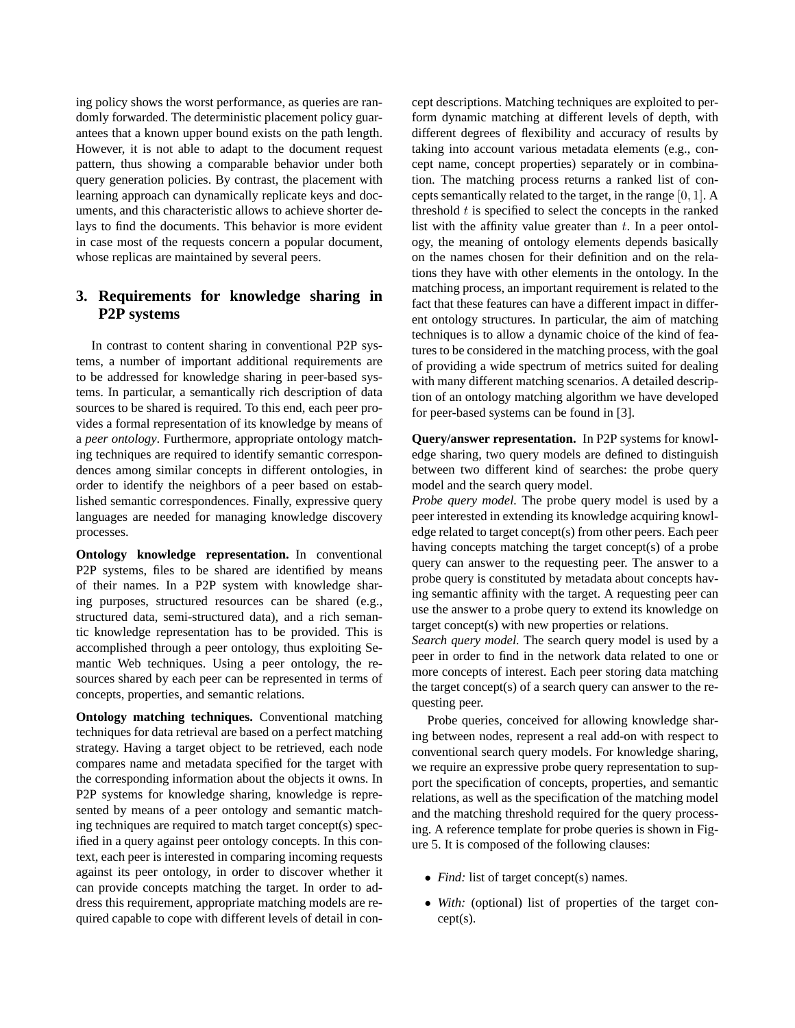ing policy shows the worst performance, as queries are randomly forwarded. The deterministic placement policy guarantees that a known upper bound exists on the path length. However, it is not able to adapt to the document request pattern, thus showing a comparable behavior under both query generation policies. By contrast, the placement with learning approach can dynamically replicate keys and documents, and this characteristic allows to achieve shorter delays to find the documents. This behavior is more evident in case most of the requests concern a popular document, whose replicas are maintained by several peers.

# **3. Requirements for knowledge sharing in P2P systems**

In contrast to content sharing in conventional P2P systems, a number of important additional requirements are to be addressed for knowledge sharing in peer-based systems. In particular, a semantically rich description of data sources to be shared is required. To this end, each peer provides a formal representation of its knowledge by means of a *peer ontology*. Furthermore, appropriate ontology matching techniques are required to identify semantic correspondences among similar concepts in different ontologies, in order to identify the neighbors of a peer based on established semantic correspondences. Finally, expressive query languages are needed for managing knowledge discovery processes.

**Ontology knowledge representation.** In conventional P2P systems, files to be shared are identified by means of their names. In a P2P system with knowledge sharing purposes, structured resources can be shared (e.g., structured data, semi-structured data), and a rich semantic knowledge representation has to be provided. This is accomplished through a peer ontology, thus exploiting Semantic Web techniques. Using a peer ontology, the resources shared by each peer can be represented in terms of concepts, properties, and semantic relations.

**Ontology matching techniques.** Conventional matching techniques for data retrieval are based on a perfect matching strategy. Having a target object to be retrieved, each node compares name and metadata specified for the target with the corresponding information about the objects it owns. In P2P systems for knowledge sharing, knowledge is represented by means of a peer ontology and semantic matching techniques are required to match target concept(s) specified in a query against peer ontology concepts. In this context, each peer is interested in comparing incoming requests against its peer ontology, in order to discover whether it can provide concepts matching the target. In order to address this requirement, appropriate matching models are required capable to cope with different levels of detail in concept descriptions. Matching techniques are exploited to perform dynamic matching at different levels of depth, with different degrees of flexibility and accuracy of results by taking into account various metadata elements (e.g., concept name, concept properties) separately or in combination. The matching process returns a ranked list of concepts semantically related to the target, in the range [0, 1]. A threshold  $t$  is specified to select the concepts in the ranked list with the affinity value greater than  $t$ . In a peer ontology, the meaning of ontology elements depends basically on the names chosen for their definition and on the relations they have with other elements in the ontology. In the matching process, an important requirement is related to the fact that these features can have a different impact in different ontology structures. In particular, the aim of matching techniques is to allow a dynamic choice of the kind of features to be considered in the matching process, with the goal of providing a wide spectrum of metrics suited for dealing with many different matching scenarios. A detailed description of an ontology matching algorithm we have developed for peer-based systems can be found in [3].

**Query/answer representation.** In P2P systems for knowledge sharing, two query models are defined to distinguish between two different kind of searches: the probe query model and the search query model.

*Probe query model.* The probe query model is used by a peer interested in extending its knowledge acquiring knowledge related to target concept(s) from other peers. Each peer having concepts matching the target concept(s) of a probe query can answer to the requesting peer. The answer to a probe query is constituted by metadata about concepts having semantic affinity with the target. A requesting peer can use the answer to a probe query to extend its knowledge on target concept(s) with new properties or relations.

*Search query model.* The search query model is used by a peer in order to find in the network data related to one or more concepts of interest. Each peer storing data matching the target concept(s) of a search query can answer to the requesting peer.

Probe queries, conceived for allowing knowledge sharing between nodes, represent a real add-on with respect to conventional search query models. For knowledge sharing, we require an expressive probe query representation to support the specification of concepts, properties, and semantic relations, as well as the specification of the matching model and the matching threshold required for the query processing. A reference template for probe queries is shown in Figure 5. It is composed of the following clauses:

- *Find:* list of target concept(s) names.
- *With:* (optional) list of properties of the target concept(s).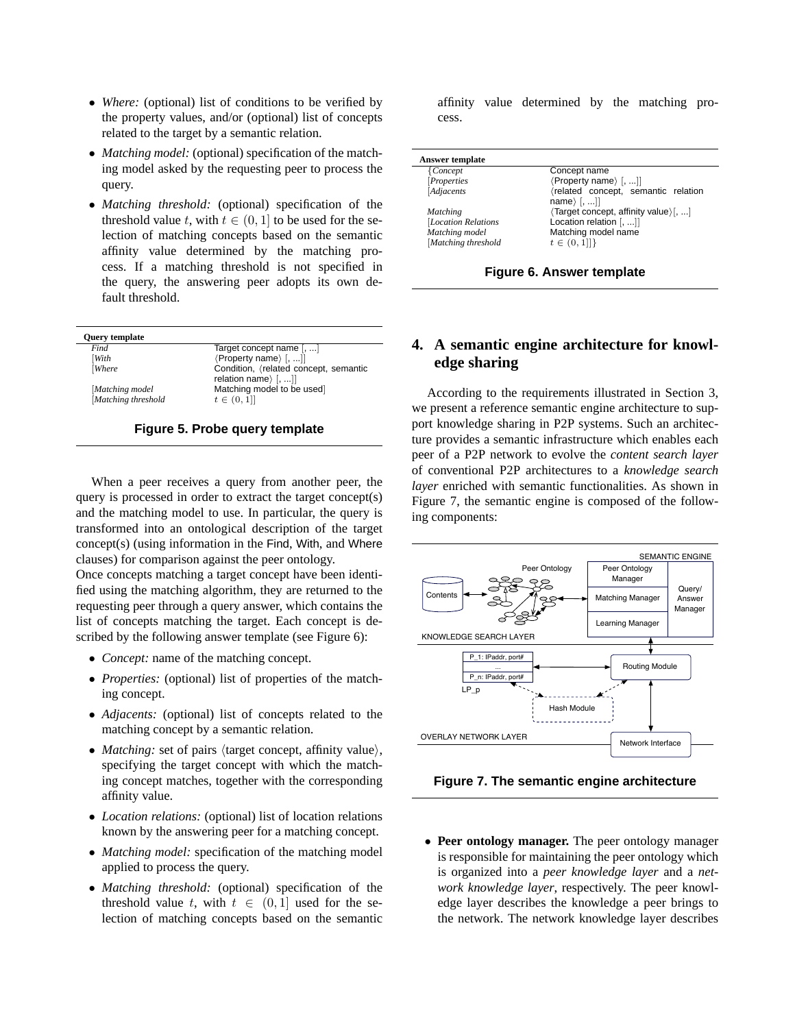- *Where:* (optional) list of conditions to be verified by the property values, and/or (optional) list of concepts related to the target by a semantic relation.
- *Matching model:* (optional) specification of the matching model asked by the requesting peer to process the query.
- *Matching threshold:* (optional) specification of the threshold value t, with  $t \in (0, 1]$  to be used for the selection of matching concepts based on the semantic affinity value determined by the matching process. If a matching threshold is not specified in the query, the answering peer adopts its own default threshold.

| Find               | Target concept name [, ]                                         |
|--------------------|------------------------------------------------------------------|
| With               | (Property name) [, ]]                                            |
| <b>Where</b>       | Condition, (related concept, semantic<br>relation name) $[$ , ]] |
| Matching model     | Matching model to be used]                                       |
| Matching threshold | $t \in (0, 1]$                                                   |

**Figure 5. Probe query template**

When a peer receives a query from another peer, the query is processed in order to extract the target concept(s) and the matching model to use. In particular, the query is transformed into an ontological description of the target concept(s) (using information in the Find, With, and Where clauses) for comparison against the peer ontology.

Once concepts matching a target concept have been identified using the matching algorithm, they are returned to the requesting peer through a query answer, which contains the list of concepts matching the target. Each concept is described by the following answer template (see Figure 6):

- *Concept:* name of the matching concept.
- *Properties:* (optional) list of properties of the matching concept.
- *Adjacents:* (optional) list of concepts related to the matching concept by a semantic relation.
- *Matching:* set of pairs  $\langle$  target concept, affinity value $\rangle$ , specifying the target concept with which the matching concept matches, together with the corresponding affinity value.
- *Location relations:* (optional) list of location relations known by the answering peer for a matching concept.
- *Matching model:* specification of the matching model applied to process the query.
- *Matching threshold:* (optional) specification of the threshold value t, with  $t \in (0,1]$  used for the selection of matching concepts based on the semantic

affinity value determined by the matching process.

| {Concept            | Concept name                                                |
|---------------------|-------------------------------------------------------------|
| Properties          | $\langle$ Property name $\rangle$ [, ]]                     |
| [Adjacents          | (related concept, semantic relation<br>name $\langle$ [, ]] |
| Matching            | (Target concept, affinity value) [, ]                       |
| [Location Relations | Location relation $[, ]$                                    |
| Matching model      | Matching model name                                         |
| Matching threshold  | $t \in (0,1]$                                               |

# **4. A semantic engine architecture for knowledge sharing**

According to the requirements illustrated in Section 3, we present a reference semantic engine architecture to support knowledge sharing in P2P systems. Such an architecture provides a semantic infrastructure which enables each peer of a P2P network to evolve the *content search layer* of conventional P2P architectures to a *knowledge search layer* enriched with semantic functionalities. As shown in Figure 7, the semantic engine is composed of the following components:



**Figure 7. The semantic engine architecture**

• **Peer ontology manager.** The peer ontology manager is responsible for maintaining the peer ontology which is organized into a *peer knowledge layer* and a *network knowledge layer*, respectively. The peer knowledge layer describes the knowledge a peer brings to the network. The network knowledge layer describes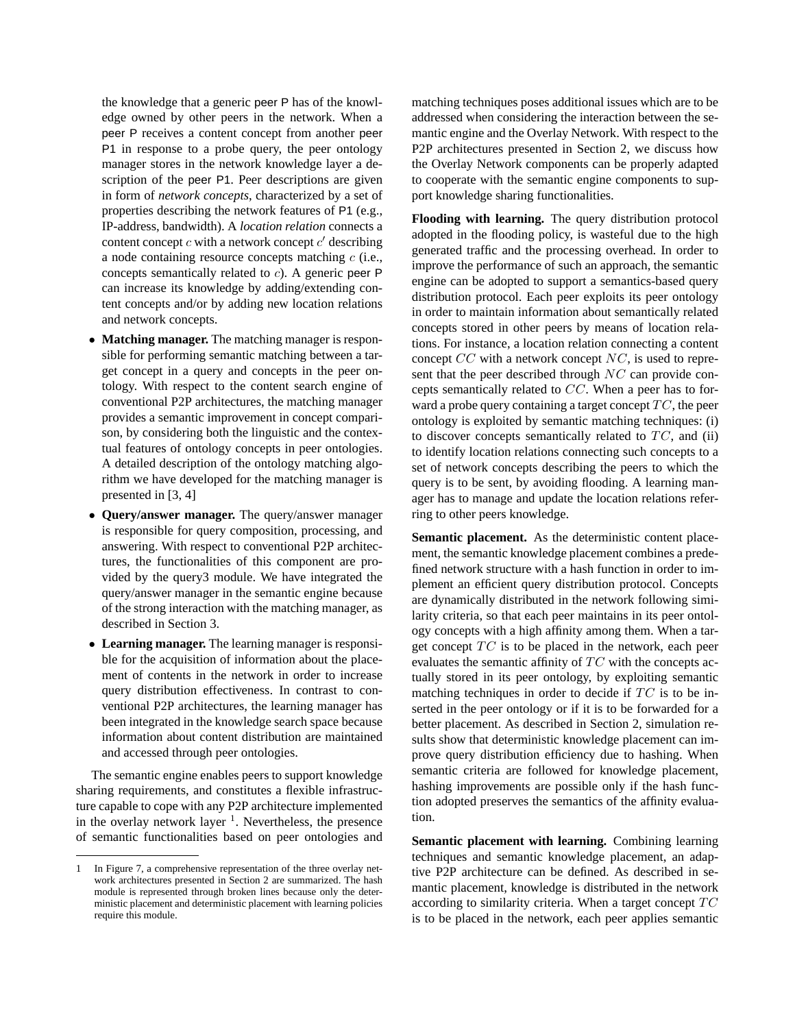the knowledge that a generic peer P has of the knowledge owned by other peers in the network. When a peer P receives a content concept from another peer P1 in response to a probe query, the peer ontology manager stores in the network knowledge layer a description of the peer P1. Peer descriptions are given in form of *network concepts*, characterized by a set of properties describing the network features of P1 (e.g., IP-address, bandwidth). A *location relation* connects a content concept  $c$  with a network concept  $c'$  describing a node containing resource concepts matching  $c$  (i.e., concepts semantically related to c). A generic peer P can increase its knowledge by adding/extending content concepts and/or by adding new location relations and network concepts.

- **Matching manager.** The matching manager is responsible for performing semantic matching between a target concept in a query and concepts in the peer ontology. With respect to the content search engine of conventional P2P architectures, the matching manager provides a semantic improvement in concept comparison, by considering both the linguistic and the contextual features of ontology concepts in peer ontologies. A detailed description of the ontology matching algorithm we have developed for the matching manager is presented in [3, 4]
- **Query/answer manager.** The query/answer manager is responsible for query composition, processing, and answering. With respect to conventional P2P architectures, the functionalities of this component are provided by the query3 module. We have integrated the query/answer manager in the semantic engine because of the strong interaction with the matching manager, as described in Section 3.
- **Learning manager.** The learning manager is responsible for the acquisition of information about the placement of contents in the network in order to increase query distribution effectiveness. In contrast to conventional P2P architectures, the learning manager has been integrated in the knowledge search space because information about content distribution are maintained and accessed through peer ontologies.

The semantic engine enables peers to support knowledge sharing requirements, and constitutes a flexible infrastructure capable to cope with any P2P architecture implemented in the overlay network layer  $1$ . Nevertheless, the presence of semantic functionalities based on peer ontologies and matching techniques poses additional issues which are to be addressed when considering the interaction between the semantic engine and the Overlay Network. With respect to the P2P architectures presented in Section 2, we discuss how the Overlay Network components can be properly adapted to cooperate with the semantic engine components to support knowledge sharing functionalities.

**Flooding with learning.** The query distribution protocol adopted in the flooding policy, is wasteful due to the high generated traffic and the processing overhead. In order to improve the performance of such an approach, the semantic engine can be adopted to support a semantics-based query distribution protocol. Each peer exploits its peer ontology in order to maintain information about semantically related concepts stored in other peers by means of location relations. For instance, a location relation connecting a content concept  $CC$  with a network concept  $NC$ , is used to represent that the peer described through NC can provide concepts semantically related to CC. When a peer has to forward a probe query containing a target concept  $TC$ , the peer ontology is exploited by semantic matching techniques: (i) to discover concepts semantically related to  $TC$ , and (ii) to identify location relations connecting such concepts to a set of network concepts describing the peers to which the query is to be sent, by avoiding flooding. A learning manager has to manage and update the location relations referring to other peers knowledge.

**Semantic placement.** As the deterministic content placement, the semantic knowledge placement combines a predefined network structure with a hash function in order to implement an efficient query distribution protocol. Concepts are dynamically distributed in the network following similarity criteria, so that each peer maintains in its peer ontology concepts with a high affinity among them. When a target concept  $TC$  is to be placed in the network, each peer evaluates the semantic affinity of  $TC$  with the concepts actually stored in its peer ontology, by exploiting semantic matching techniques in order to decide if  $TC$  is to be inserted in the peer ontology or if it is to be forwarded for a better placement. As described in Section 2, simulation results show that deterministic knowledge placement can improve query distribution efficiency due to hashing. When semantic criteria are followed for knowledge placement, hashing improvements are possible only if the hash function adopted preserves the semantics of the affinity evaluation.

**Semantic placement with learning.** Combining learning techniques and semantic knowledge placement, an adaptive P2P architecture can be defined. As described in semantic placement, knowledge is distributed in the network according to similarity criteria. When a target concept  $TC$ is to be placed in the network, each peer applies semantic

<sup>1</sup> In Figure 7, a comprehensive representation of the three overlay network architectures presented in Section 2 are summarized. The hash module is represented through broken lines because only the deterministic placement and deterministic placement with learning policies require this module.